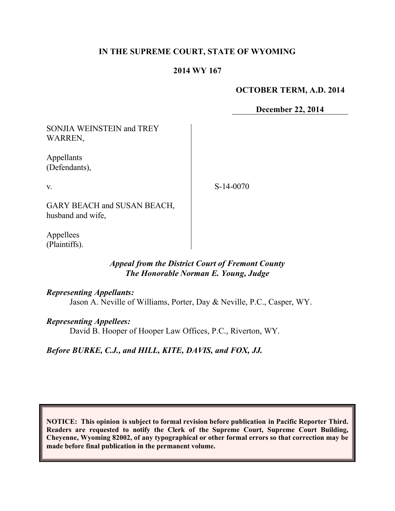#### **IN THE SUPREME COURT, STATE OF WYOMING**

#### **2014 WY 167**

#### **OCTOBER TERM, A.D. 2014**

**December 22, 2014**

| <b>SONJIA WEINSTEIN and TREY</b><br>WARREN,      |             |
|--------------------------------------------------|-------------|
| Appellants<br>(Defendants),                      |             |
| V.                                               | $S-14-0070$ |
| GARY BEACH and SUSAN BEACH,<br>husband and wife. |             |
|                                                  |             |

Appellees (Plaintiffs).

### *Appeal from the District Court of Fremont County The Honorable Norman E. Young, Judge*

#### *Representing Appellants:*

Jason A. Neville of Williams, Porter, Day & Neville, P.C., Casper, WY.

#### *Representing Appellees:*

David B. Hooper of Hooper Law Offices, P.C., Riverton, WY.

*Before BURKE, C.J., and HILL, KITE, DAVIS, and FOX, JJ.*

**NOTICE: This opinion is subject to formal revision before publication in Pacific Reporter Third. Readers are requested to notify the Clerk of the Supreme Court, Supreme Court Building, Cheyenne, Wyoming 82002, of any typographical or other formal errors so that correction may be made before final publication in the permanent volume.**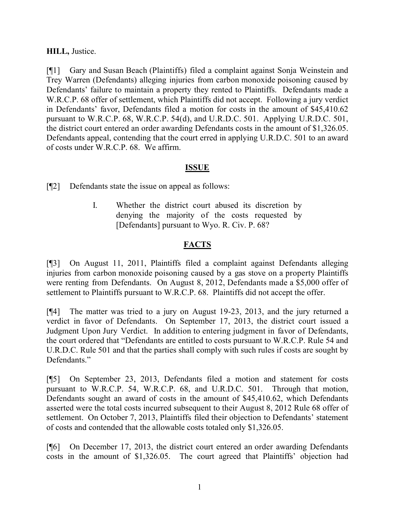### **HILL,** Justice.

[¶1] Gary and Susan Beach (Plaintiffs) filed a complaint against Sonja Weinstein and Trey Warren (Defendants) alleging injuries from carbon monoxide poisoning caused by Defendants' failure to maintain a property they rented to Plaintiffs. Defendants made a W.R.C.P. 68 offer of settlement, which Plaintiffs did not accept. Following a jury verdict in Defendants' favor, Defendants filed a motion for costs in the amount of \$45,410.62 pursuant to W.R.C.P. 68, W.R.C.P. 54(d), and U.R.D.C. 501. Applying U.R.D.C. 501, the district court entered an order awarding Defendants costs in the amount of \$1,326.05. Defendants appeal, contending that the court erred in applying U.R.D.C. 501 to an award of costs under W.R.C.P. 68. We affirm.

#### **ISSUE**

[¶2] Defendants state the issue on appeal as follows:

I. Whether the district court abused its discretion by denying the majority of the costs requested by [Defendants] pursuant to Wyo. R. Civ. P. 68?

## **FACTS**

[¶3] On August 11, 2011, Plaintiffs filed a complaint against Defendants alleging injuries from carbon monoxide poisoning caused by a gas stove on a property Plaintiffs were renting from Defendants. On August 8, 2012, Defendants made a \$5,000 offer of settlement to Plaintiffs pursuant to W.R.C.P. 68. Plaintiffs did not accept the offer.

[¶4] The matter was tried to a jury on August 19-23, 2013, and the jury returned a verdict in favor of Defendants. On September 17, 2013, the district court issued a Judgment Upon Jury Verdict. In addition to entering judgment in favor of Defendants, the court ordered that "Defendants are entitled to costs pursuant to W.R.C.P. Rule 54 and U.R.D.C. Rule 501 and that the parties shall comply with such rules if costs are sought by Defendants<sup>"</sup>

[¶5] On September 23, 2013, Defendants filed a motion and statement for costs pursuant to W.R.C.P. 54, W.R.C.P. 68, and U.R.D.C. 501. Through that motion, Defendants sought an award of costs in the amount of \$45,410.62, which Defendants asserted were the total costs incurred subsequent to their August 8, 2012 Rule 68 offer of settlement. On October 7, 2013, Plaintiffs filed their objection to Defendants' statement of costs and contended that the allowable costs totaled only \$1,326.05.

[¶6] On December 17, 2013, the district court entered an order awarding Defendants costs in the amount of \$1,326.05. The court agreed that Plaintiffs' objection had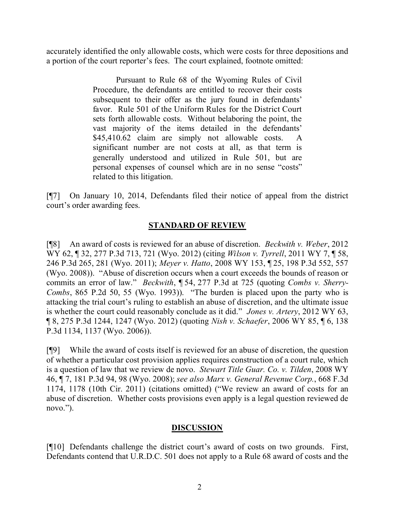accurately identified the only allowable costs, which were costs for three depositions and a portion of the court reporter's fees. The court explained, footnote omitted:

> Pursuant to Rule 68 of the Wyoming Rules of Civil Procedure, the defendants are entitled to recover their costs subsequent to their offer as the jury found in defendants' favor. Rule 501 of the Uniform Rules for the District Court sets forth allowable costs. Without belaboring the point, the vast majority of the items detailed in the defendants'  $$45,410.62$  claim are simply not allowable costs. significant number are not costs at all, as that term is generally understood and utilized in Rule 501, but are personal expenses of counsel which are in no sense "costs" related to this litigation.

[¶7] On January 10, 2014, Defendants filed their notice of appeal from the district court's order awarding fees.

## **STANDARD OF REVIEW**

[¶8] An award of costs is reviewed for an abuse of discretion. *Beckwith v. Weber*, 2012 WY 62, ¶ 32, 277 P.3d 713, 721 (Wyo. 2012) (citing *Wilson v. Tyrrell*, 2011 WY 7, ¶ 58, 246 P.3d 265, 281 (Wyo. 2011); *Meyer v. Hatto*, 2008 WY 153, ¶ 25, 198 P.3d 552, 557 (Wyo. 2008)). "Abuse of discretion occurs when a court exceeds the bounds of reason or commits an error of law." *Beckwith*, ¶ 54, 277 P.3d at 725 (quoting *Combs v. Sherry-Combs*, 865 P.2d 50, 55 (Wyo. 1993)). "The burden is placed upon the party who is attacking the trial court's ruling to establish an abuse of discretion, and the ultimate issue is whether the court could reasonably conclude as it did." *Jones v. Artery*, 2012 WY 63, ¶ 8, 275 P.3d 1244, 1247 (Wyo. 2012) (quoting *Nish v. Schaefer*, 2006 WY 85, ¶ 6, 138 P.3d 1134, 1137 (Wyo. 2006)).

[¶9] While the award of costs itself is reviewed for an abuse of discretion, the question of whether a particular cost provision applies requires construction of a court rule, which is a question of law that we review de novo. *Stewart Title Guar. Co. v. Tilden*, 2008 WY 46, ¶ 7, 181 P.3d 94, 98 (Wyo. 2008); *see also Marx v. General Revenue Corp.*, 668 F.3d 1174, 1178 (10th Cir. 2011) (citations omitted) ("We review an award of costs for an abuse of discretion. Whether costs provisions even apply is a legal question reviewed de novo.").

## **DISCUSSION**

[¶10] Defendants challenge the district court's award of costs on two grounds. First, Defendants contend that U.R.D.C. 501 does not apply to a Rule 68 award of costs and the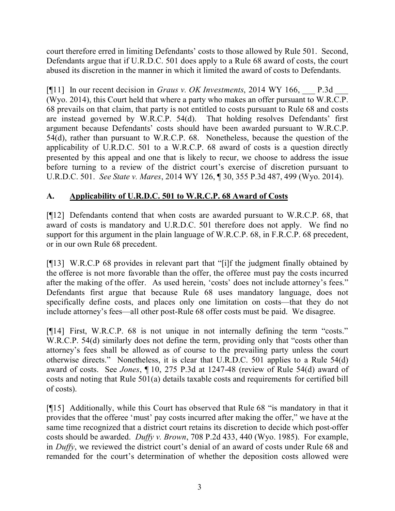court therefore erred in limiting Defendants' costs to those allowed by Rule 501. Second, Defendants argue that if U.R.D.C. 501 does apply to a Rule 68 award of costs, the court abused its discretion in the manner in which it limited the award of costs to Defendants.

[¶11] In our recent decision in *Graus v. OK Investments*, 2014 WY 166, \_\_\_ P.3d \_\_\_ (Wyo. 2014), this Court held that where a party who makes an offer pursuant to W.R.C.P. 68 prevails on that claim, that party is not entitled to costs pursuant to Rule 68 and costs are instead governed by W.R.C.P. 54(d). That holding resolves Defendants' first argument because Defendants' costs should have been awarded pursuant to W.R.C.P. 54(d), rather than pursuant to W.R.C.P. 68. Nonetheless, because the question of the applicability of U.R.D.C. 501 to a W.R.C.P. 68 award of costs is a question directly presented by this appeal and one that is likely to recur, we choose to address the issue before turning to a review of the district court's exercise of discretion pursuant to U.R.D.C. 501. *See State v. Mares*, 2014 WY 126, ¶ 30, 355 P.3d 487, 499 (Wyo. 2014).

# **A. Applicability of U.R.D.C. 501 to W.R.C.P. 68 Award of Costs**

[¶12] Defendants contend that when costs are awarded pursuant to W.R.C.P. 68, that award of costs is mandatory and U.R.D.C. 501 therefore does not apply. We find no support for this argument in the plain language of W.R.C.P. 68, in F.R.C.P. 68 precedent, or in our own Rule 68 precedent.

[¶13] W.R.C.P 68 provides in relevant part that "[i]f the judgment finally obtained by the offeree is not more favorable than the offer, the offeree must pay the costs incurred after the making of the offer. As used herein, 'costs' does not include attorney's fees." Defendants first argue that because Rule 68 uses mandatory language, does not specifically define costs, and places only one limitation on costs—that they do not include attorney's fees—all other post-Rule 68 offer costs must be paid. We disagree.

[¶14] First, W.R.C.P. 68 is not unique in not internally defining the term "costs." W.R.C.P. 54(d) similarly does not define the term, providing only that "costs other than attorney's fees shall be allowed as of course to the prevailing party unless the court otherwise directs." Nonetheless, it is clear that U.R.D.C. 501 applies to a Rule 54(d) award of costs. See *Jones*, ¶ 10, 275 P.3d at 1247-48 (review of Rule 54(d) award of costs and noting that Rule 501(a) details taxable costs and requirements for certified bill of costs).

[¶15] Additionally, while this Court has observed that Rule 68 "is mandatory in that it provides that the offeree 'must' pay costs incurred after making the offer," we have at the same time recognized that a district court retains its discretion to decide which post-offer costs should be awarded. *Duffy v. Brown*, 708 P.2d 433, 440 (Wyo. 1985). For example, in *Duffy*, we reviewed the district court's denial of an award of costs under Rule 68 and remanded for the court's determination of whether the deposition costs allowed were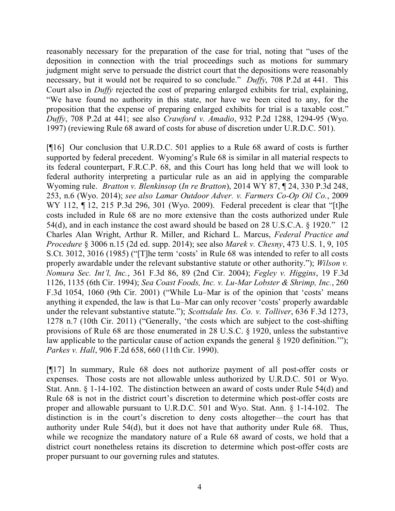reasonably necessary for the preparation of the case for trial, noting that "uses of the deposition in connection with the trial proceedings such as motions for summary judgment might serve to persuade the district court that the depositions were reasonably necessary, but it would not be required to so conclude." *Duffy*, 708 P.2d at 441. This Court also in *Duffy* rejected the cost of preparing enlarged exhibits for trial, explaining, "We have found no authority in this state, nor have we been cited to any, for the proposition that the expense of preparing enlarged exhibits for trial is a taxable cost." *Duffy*, 708 P.2d at 441; see also *Crawford v. Amadio*, 932 P.2d 1288, 1294-95 (Wyo. 1997) (reviewing Rule 68 award of costs for abuse of discretion under U.R.D.C. 501).

[¶16] Our conclusion that U.R.D.C. 501 applies to a Rule 68 award of costs is further supported by federal precedent. Wyoming's Rule 68 is similar in all material respects to its federal counterpart, F.R.C.P. 68, and this Court has long held that we will look to federal authority interpreting a particular rule as an aid in applying the comparable Wyoming rule. *Bratton v. Blenkinsop* (*In re Bratton*), 2014 WY 87, ¶ 24, 330 P.3d 248, 253, n.6 (Wyo. 2014); *see also Lamar Outdoor Adver. v. Farmers Co-Op Oil Co.*, 2009 WY 112, 112, 215 P.3d 296, 301 (Wyo. 2009). Federal precedent is clear that "[t]he costs included in Rule 68 are no more extensive than the costs authorized under Rule 54(d), and in each instance the cost award should be based on 28 U.S.C.A. § 1920." 12 Charles Alan Wright, Arthur R. Miller, and Richard L. Marcus, *Federal Practice and Procedure* § 3006 n.15 (2d ed. supp. 2014); see also *Marek v. Chesny*, 473 U.S. 1, 9, 105 S.Ct. 3012, 3016 (1985) ("[T]he term 'costs' in Rule 68 was intended to refer to all costs properly awardable under the relevant substantive statute or other authority."); *Wilson v. Nomura Sec. Int'l, Inc.*, 361 F.3d 86, 89 (2nd Cir. 2004); *Fegley v. Higgins*, 19 F.3d 1126, 1135 (6th Cir. 1994); *Sea Coast Foods, Inc. v. Lu-Mar Lobster & Shrimp, Inc.*, 260 F.3d 1054, 1060 (9th Cir. 2001) ("While Lu–Mar is of the opinion that 'costs' means anything it expended, the law is that Lu–Mar can only recover 'costs' properly awardable under the relevant substantive statute."); *Scottsdale Ins. Co. v. Tolliver*, 636 F.3d 1273, 1278 n.7 (10th Cir. 2011) ("Generally, 'the costs which are subject to the cost-shifting provisions of Rule 68 are those enumerated in 28 U.S.C. § 1920, unless the substantive law applicable to the particular cause of action expands the general § 1920 definition.'"); *Parkes v. Hall*, 906 F.2d 658, 660 (11th Cir. 1990).

[¶17] In summary, Rule 68 does not authorize payment of all post-offer costs or expenses. Those costs are not allowable unless authorized by U.R.D.C. 501 or Wyo. Stat. Ann. § 1-14-102. The distinction between an award of costs under Rule 54(d) and Rule 68 is not in the district court's discretion to determine which post-offer costs are proper and allowable pursuant to U.R.D.C. 501 and Wyo. Stat. Ann. § 1-14-102. The distinction is in the court's discretion to deny costs altogether—the court has that authority under Rule 54(d), but it does not have that authority under Rule 68. Thus, while we recognize the mandatory nature of a Rule 68 award of costs, we hold that a district court nonetheless retains its discretion to determine which post-offer costs are proper pursuant to our governing rules and statutes.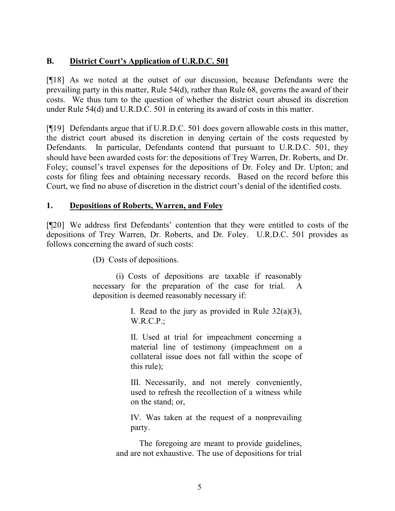## **B. District Court's Application of U.R.D.C. 501**

[¶18] As we noted at the outset of our discussion, because Defendants were the prevailing party in this matter, Rule 54(d), rather than Rule 68, governs the award of their costs. We thus turn to the question of whether the district court abused its discretion under Rule 54(d) and U.R.D.C. 501 in entering its award of costs in this matter.

[¶19] Defendants argue that if U.R.D.C. 501 does govern allowable costs in this matter, the district court abused its discretion in denying certain of the costs requested by Defendants. In particular, Defendants contend that pursuant to U.R.D.C. 501, they should have been awarded costs for: the depositions of Trey Warren, Dr. Roberts, and Dr. Foley; counsel's travel expenses for the depositions of Dr. Foley and Dr. Upton; and costs for filing fees and obtaining necessary records. Based on the record before this Court, we find no abuse of discretion in the district court's denial of the identified costs.

### **1. Depositions of Roberts, Warren, and Foley**

[¶20] We address first Defendants' contention that they were entitled to costs of the depositions of Trey Warren, Dr. Roberts, and Dr. Foley. U.R.D.C. 501 provides as follows concerning the award of such costs:

(D) Costs of depositions.

(i) Costs of depositions are taxable if reasonably necessary for the preparation of the case for trial. A deposition is deemed reasonably necessary if:

> I. Read to the jury as provided in Rule  $32(a)(3)$ , W.R.C.P.;

> II. Used at trial for impeachment concerning a material line of testimony (impeachment on a collateral issue does not fall within the scope of this rule);

> III. Necessarily, and not merely conveniently, used to refresh the recollection of a witness while on the stand; or,

> IV. Was taken at the request of a nonprevailing party.

The foregoing are meant to provide guidelines, and are not exhaustive. The use of depositions for trial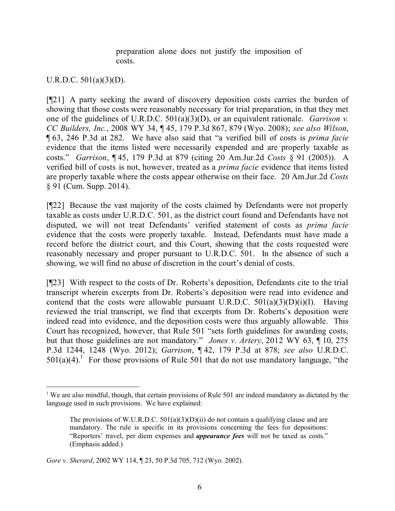preparation alone does not justify the imposition of costs.

#### U.R.D.C. 501(a)(3)(D).

[¶21] A party seeking the award of discovery deposition costs carries the burden of showing that those costs were reasonably necessary for trial preparation, in that they met one of the guidelines of U.R.D.C. 501(a)(3)(D), or an equivalent rationale. *Garrison v. CC Builders, Inc.*, 2008 WY 34, ¶ 45, 179 P.3d 867, 879 (Wyo. 2008); *see also Wilson*, ¶ 63, 246 P.3d at 282. We have also said that "a verified bill of costs is *prima facie* evidence that the items listed were necessarily expended and are properly taxable as costs." *Garrison*, ¶ 45, 179 P.3d at 879 (citing 20 Am.Jur.2d *Costs* § 91 (2005)). A verified bill of costs is not, however, treated as a *prima facie* evidence that items listed are properly taxable where the costs appear otherwise on their face. 20 Am.Jur.2d *Costs* § 91 (Cum. Supp. 2014).

[¶22] Because the vast majority of the costs claimed by Defendants were not properly taxable as costs under U.R.D.C. 501, as the district court found and Defendants have not disputed, we will not treat Defendants' verified statement of costs as *prima facie* evidence that the costs were properly taxable. Instead, Defendants must have made a record before the district court, and this Court, showing that the costs requested were reasonably necessary and proper pursuant to U.R.D.C. 501. In the absence of such a showing, we will find no abuse of discretion in the court's denial of costs.

[¶23] With respect to the costs of Dr. Roberts's deposition, Defendants cite to the trial transcript wherein excerpts from Dr. Roberts's deposition were read into evidence and contend that the costs were allowable pursuant U.R.D.C.  $501(a)(3)(D)(i)(I)$ . Having reviewed the trial transcript, we find that excerpts from Dr. Roberts's deposition were indeed read into evidence, and the deposition costs were thus arguably allowable. This Court has recognized, however, that Rule 501 "sets forth guidelines for awarding costs, but that those guidelines are not mandatory." *Jones v. Artery*, 2012 WY 63, ¶ 10, 275 P.3d 1244, 1248 (Wyo. 2012); *Garrison*, ¶ 42, 179 P.3d at 878; *see also* U.R.D.C.  $501(a)(4)$ . For those provisions of Rule 501 that do not use mandatory language, "the

 $\overline{a}$ <sup>1</sup> We are also mindful, though, that certain provisions of Rule 501 are indeed mandatory as dictated by the language used in such provisions. We have explained:

The provisions of W.U.R.D.C.  $501(a)(3)(D)(ii)$  do not contain a qualifying clause and are mandatory. The rule is specific in its provisions concerning the fees for depositions: "Reporters' travel, per diem expenses and *appearance fees* will not be taxed as costs." (Emphasis added.)

*Gore v. Sherard*, 2002 WY 114, ¶ 23, 50 P.3d 705, 712 (Wyo. 2002).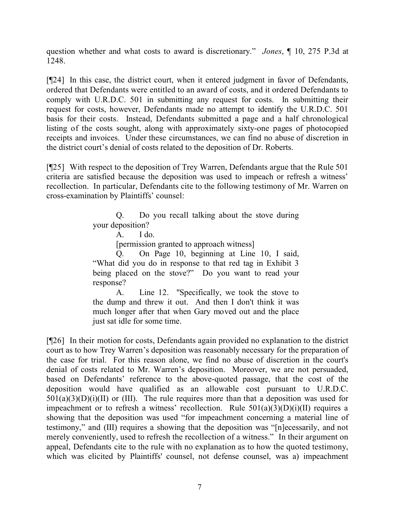question whether and what costs to award is discretionary." *Jones*, ¶ 10, 275 P.3d at 1248.

[¶24] In this case, the district court, when it entered judgment in favor of Defendants, ordered that Defendants were entitled to an award of costs, and it ordered Defendants to comply with U.R.D.C. 501 in submitting any request for costs. In submitting their request for costs, however, Defendants made no attempt to identify the U.R.D.C. 501 basis for their costs. Instead, Defendants submitted a page and a half chronological listing of the costs sought, along with approximately sixty-one pages of photocopied receipts and invoices. Under these circumstances, we can find no abuse of discretion in the district court's denial of costs related to the deposition of Dr. Roberts.

[¶25] With respect to the deposition of Trey Warren, Defendants argue that the Rule 501 criteria are satisfied because the deposition was used to impeach or refresh a witness' recollection. In particular, Defendants cite to the following testimony of Mr. Warren on cross-examination by Plaintiffs' counsel:

> Q. Do you recall talking about the stove during your deposition?

[permission granted to approach witness]

Q. On Page 10, beginning at Line 10, I said, "What did you do in response to that red tag in Exhibit 3 being placed on the stove?" Do you want to read your response?

A. Line 12. "Specifically, we took the stove to the dump and threw it out. And then I don't think it was much longer after that when Gary moved out and the place just sat idle for some time.

[¶26] In their motion for costs, Defendants again provided no explanation to the district court as to how Trey Warren's deposition was reasonably necessary for the preparation of the case for trial. For this reason alone, we find no abuse of discretion in the court's denial of costs related to Mr. Warren's deposition. Moreover, we are not persuaded, based on Defendants' reference to the above-quoted passage, that the cost of the deposition would have qualified as an allowable cost pursuant to U.R.D.C.  $501(a)(3)(D)(i)(II)$  or (III). The rule requires more than that a deposition was used for impeachment or to refresh a witness' recollection. Rule  $501(a)(3)(D)(i)(II)$  requires a showing that the deposition was used "for impeachment concerning a material line of testimony," and (III) requires a showing that the deposition was "[n]ecessarily, and not merely conveniently, used to refresh the recollection of a witness." In their argument on appeal, Defendants cite to the rule with no explanation as to how the quoted testimony, which was elicited by Plaintiffs' counsel, not defense counsel, was a) impeachment

 $A.$  I do.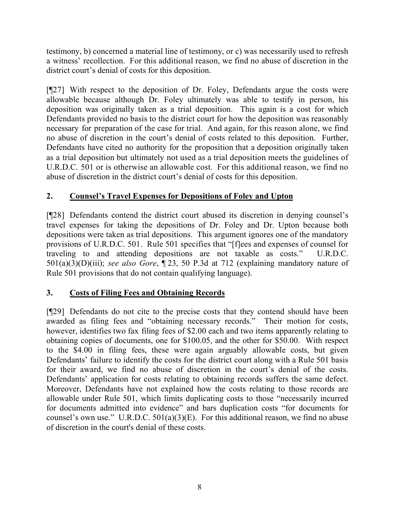testimony, b) concerned a material line of testimony, or c) was necessarily used to refresh a witness' recollection. For this additional reason, we find no abuse of discretion in the district court's denial of costs for this deposition.

[¶27] With respect to the deposition of Dr. Foley, Defendants argue the costs were allowable because although Dr. Foley ultimately was able to testify in person, his deposition was originally taken as a trial deposition. This again is a cost for which Defendants provided no basis to the district court for how the deposition was reasonably necessary for preparation of the case for trial. And again, for this reason alone, we find no abuse of discretion in the court's denial of costs related to this deposition. Further, Defendants have cited no authority for the proposition that a deposition originally taken as a trial deposition but ultimately not used as a trial deposition meets the guidelines of U.R.D.C. 501 or is otherwise an allowable cost. For this additional reason, we find no abuse of discretion in the district court's denial of costs for this deposition.

# **2. Counsel's Travel Expenses for Depositions of Foley and Upton**

[¶28] Defendants contend the district court abused its discretion in denying counsel's travel expenses for taking the depositions of Dr. Foley and Dr. Upton because both depositions were taken as trial depositions. This argument ignores one of the mandatory provisions of U.R.D.C. 501. Rule 501 specifies that "[f]ees and expenses of counsel for traveling to and attending depositions are not taxable as costs." U.R.D.C. 501(a)(3)(D)(iii); *see also Gore*, ¶ 23, 50 P.3d at 712 (explaining mandatory nature of Rule 501 provisions that do not contain qualifying language).

## **3. Costs of Filing Fees and Obtaining Records**

[¶29] Defendants do not cite to the precise costs that they contend should have been awarded as filing fees and "obtaining necessary records." Their motion for costs, however, identifies two fax filing fees of \$2.00 each and two items apparently relating to obtaining copies of documents, one for \$100.05, and the other for \$50.00. With respect to the \$4.00 in filing fees, these were again arguably allowable costs, but given Defendants' failure to identify the costs for the district court along with a Rule 501 basis for their award, we find no abuse of discretion in the court's denial of the costs. Defendants' application for costs relating to obtaining records suffers the same defect. Moreover, Defendants have not explained how the costs relating to those records are allowable under Rule 501, which limits duplicating costs to those "necessarily incurred for documents admitted into evidence" and bars duplication costs "for documents for counsel's own use." U.R.D.C.  $501(a)(3)(E)$ . For this additional reason, we find no abuse of discretion in the court's denial of these costs.